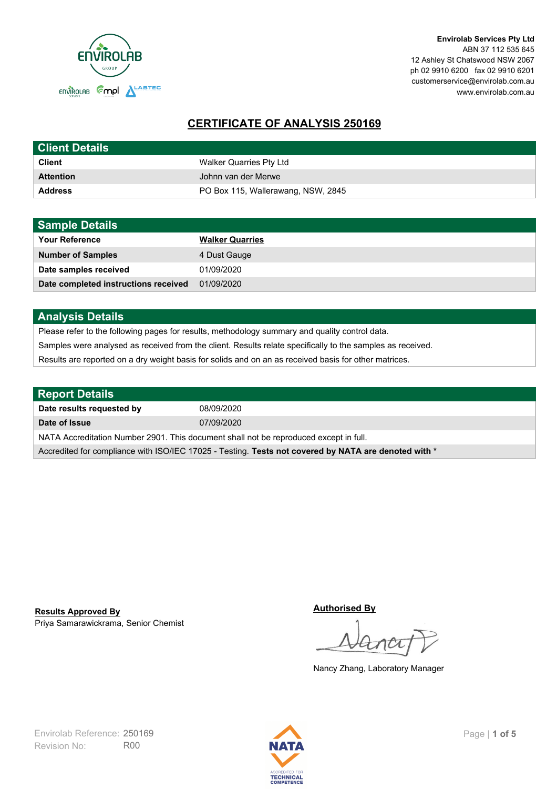

**Envirolab Services Pty Ltd** ABN 37 112 535 645 12 Ashley St Chatswood NSW 2067 ph 02 9910 6200 fax 02 9910 6201 customerservice@envirolab.com.au www.envirolab.com.au

# **CERTIFICATE OF ANALYSIS 250169**

| <b>Client Details</b> |                                    |
|-----------------------|------------------------------------|
| <b>Client</b>         | Walker Quarries Pty Ltd            |
| <b>Attention</b>      | Johnn van der Merwe                |
| <b>Address</b>        | PO Box 115, Wallerawang, NSW, 2845 |

| <b>Sample Details</b>                |                        |
|--------------------------------------|------------------------|
| <b>Your Reference</b>                | <b>Walker Quarries</b> |
| <b>Number of Samples</b>             | 4 Dust Gauge           |
| Date samples received                | 01/09/2020             |
| Date completed instructions received | 01/09/2020             |

### **Analysis Details**

Please refer to the following pages for results, methodology summary and quality control data.

Samples were analysed as received from the client. Results relate specifically to the samples as received.

Results are reported on a dry weight basis for solids and on an as received basis for other matrices.

| <b>Report Details</b>                                                                                |            |  |
|------------------------------------------------------------------------------------------------------|------------|--|
| Date results requested by                                                                            | 08/09/2020 |  |
| Date of Issue                                                                                        | 07/09/2020 |  |
| NATA Accreditation Number 2901. This document shall not be reproduced except in full.                |            |  |
| Accredited for compliance with ISO/IEC 17025 - Testing. Tests not covered by NATA are denoted with * |            |  |

Priya Samarawickrama, Senior Chemist **Results Approved By**

**Authorised By**

Nancy Zhang, Laboratory Manager

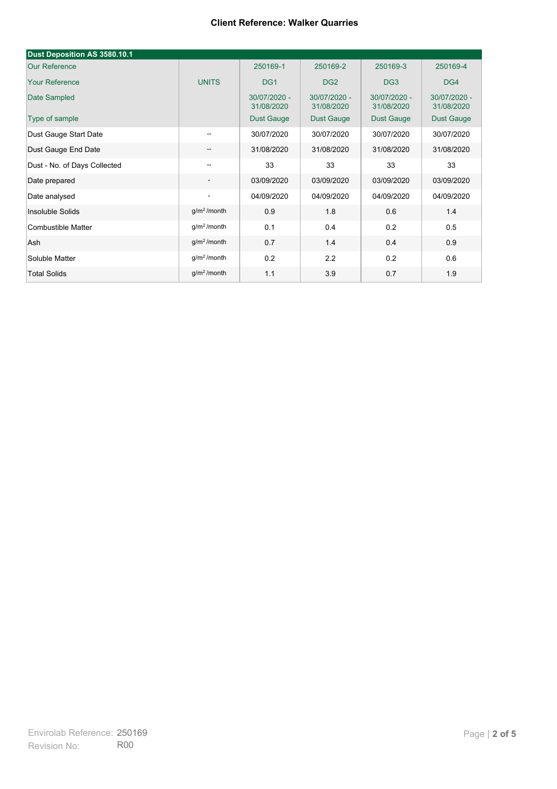| Dust Deposition AS 3580.10.1 |                          |                            |                            |                            |                            |
|------------------------------|--------------------------|----------------------------|----------------------------|----------------------------|----------------------------|
| <b>Our Reference</b>         |                          | 250169-1                   | 250169-2                   | 250169-3                   | 250169-4                   |
| <b>Your Reference</b>        | <b>UNITS</b>             | DG <sub>1</sub>            | DG <sub>2</sub>            | DG <sub>3</sub>            | DG4                        |
| Date Sampled                 |                          | 30/07/2020 -<br>31/08/2020 | 30/07/2020 -<br>31/08/2020 | 30/07/2020 -<br>31/08/2020 | 30/07/2020 -<br>31/08/2020 |
| Type of sample               |                          | <b>Dust Gauge</b>          | <b>Dust Gauge</b>          | Dust Gauge                 | Dust Gauge                 |
| Dust Gauge Start Date        | $\overline{\phantom{a}}$ | 30/07/2020                 | 30/07/2020                 | 30/07/2020                 | 30/07/2020                 |
| Dust Gauge End Date          | $\overline{\phantom{m}}$ | 31/08/2020                 | 31/08/2020                 | 31/08/2020                 | 31/08/2020                 |
| Dust - No. of Days Collected | $\overline{\phantom{m}}$ | 33                         | 33                         | 33                         | 33                         |
| Date prepared                | $\overline{\phantom{a}}$ | 03/09/2020                 | 03/09/2020                 | 03/09/2020                 | 03/09/2020                 |
| Date analysed                | $\overline{\phantom{a}}$ | 04/09/2020                 | 04/09/2020                 | 04/09/2020                 | 04/09/2020                 |
| Insoluble Solids             | g/m <sup>2</sup> /month  | 0.9                        | 1.8                        | 0.6                        | 1.4                        |
| Combustible Matter           | g/m <sup>2</sup> /month  | 0.1                        | 0.4                        | 0.2                        | 0.5                        |
| Ash                          | g/m <sup>2</sup> /month  | 0.7                        | 1.4                        | 0.4                        | 0.9                        |
| Soluble Matter               | $g/m2$ /month            | 0.2                        | 2.2                        | 0.2                        | 0.6                        |
| <b>Total Solids</b>          | $q/m^2$ /month           | 1.1                        | 3.9                        | 0.7                        | 1.9                        |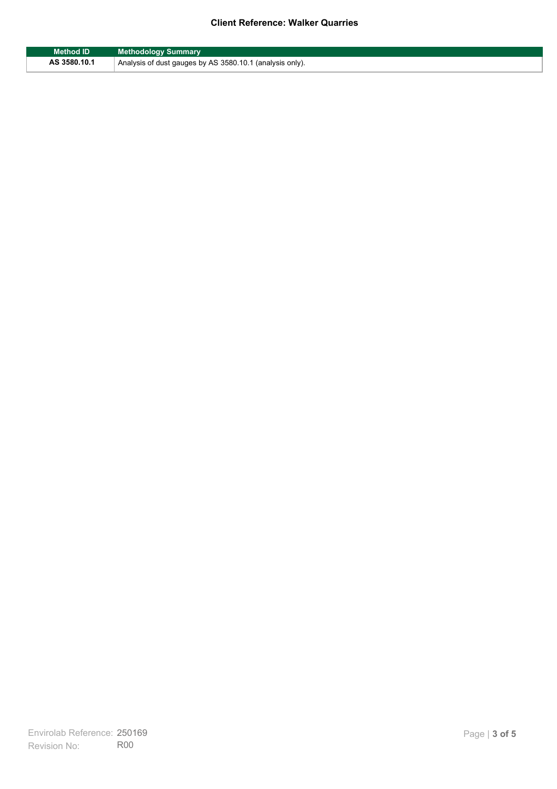| <b>Method ID</b> | <b>Methodology Summary</b>                               |
|------------------|----------------------------------------------------------|
| AS 3580.10.1     | Analysis of dust gauges by AS 3580.10.1 (analysis only). |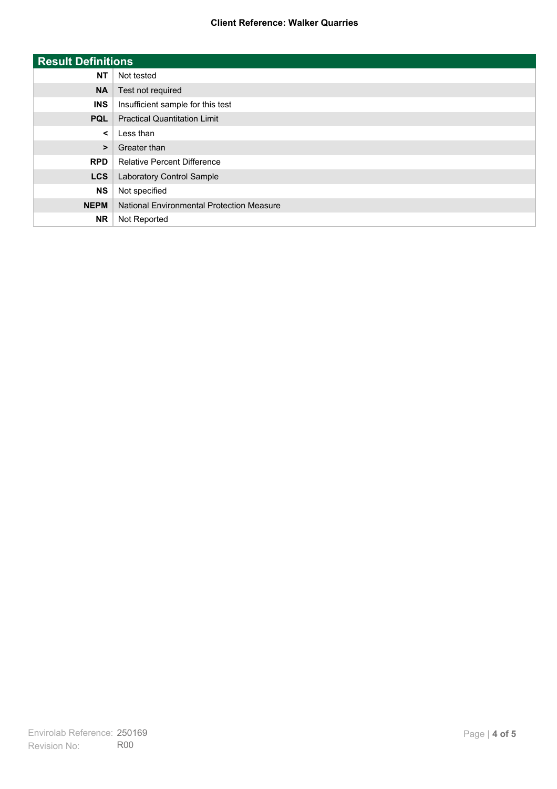| <b>Result Definitions</b> |                                           |
|---------------------------|-------------------------------------------|
| <b>NT</b>                 | Not tested                                |
| <b>NA</b>                 | Test not required                         |
| <b>INS</b>                | Insufficient sample for this test         |
| <b>PQL</b>                | <b>Practical Quantitation Limit</b>       |
| $\prec$                   | Less than                                 |
| $\geq$                    | Greater than                              |
| <b>RPD</b>                | <b>Relative Percent Difference</b>        |
| <b>LCS</b>                | Laboratory Control Sample                 |
| <b>NS</b>                 | Not specified                             |
| <b>NEPM</b>               | National Environmental Protection Measure |
| <b>NR</b>                 | Not Reported                              |